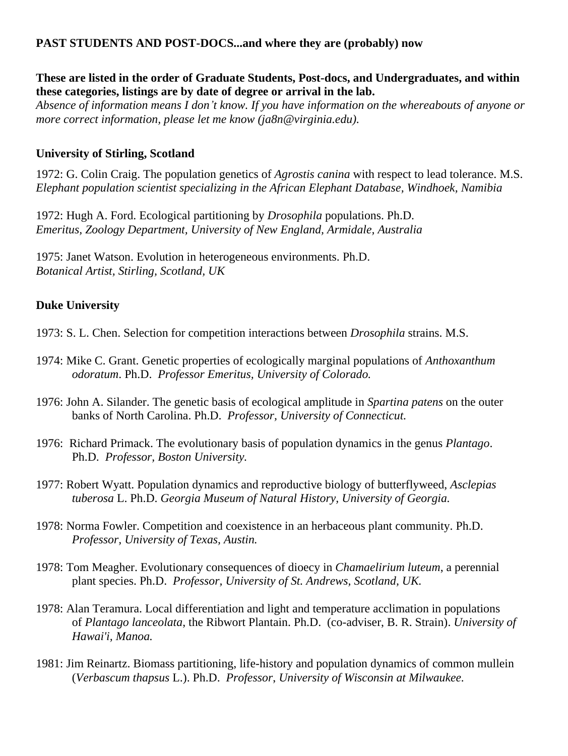# **PAST STUDENTS AND POST-DOCS...and where they are (probably) now**

## **These are listed in the order of Graduate Students, Post-docs, and Undergraduates, and within these categories, listings are by date of degree or arrival in the lab.**

*Absence of information means I don't know. If you have information on the whereabouts of anyone or more correct information, please let me know (ja8n@virginia.edu).* 

# **University of Stirling, Scotland**

1972: G. Colin Craig. The population genetics of *Agrostis canina* with respect to lead tolerance. M.S. *Elephant population scientist specializing in the African Elephant Database, Windhoek, Namibia*

1972: Hugh A. Ford. Ecological partitioning by *Drosophila* populations. Ph.D. *Emeritus, Zoology Department, University of New England, Armidale, Australia*

1975: Janet Watson. Evolution in heterogeneous environments. Ph.D. *Botanical Artist, Stirling, Scotland, UK*

# **Duke University**

1973: S. L. Chen. Selection for competition interactions between *Drosophila* strains. M.S.

- 1974: Mike C. Grant. Genetic properties of ecologically marginal populations of *Anthoxanthum odoratum*. Ph.D. *Professor Emeritus, [University of Colorado.](http://ebio.colorado.edu/index.php/people-faculty?view=employee&id=17)*
- 1976: John A. Silander. The genetic basis of ecological amplitude in *Spartina patens* on the outer banks of North Carolina. Ph.D. *Professor, [University of Connecticut.](http://www.eeb.uconn.edu/people/silander/)*
- 1976: Richard Primack. The evolutionary basis of population dynamics in the genus *Plantago*. Ph.D. *Professor, [Boston University.](http://people.bu.edu/primack/)*
- 1977: Robert Wyatt. Population dynamics and reproductive biology of butterflyweed, *Asclepias tuberosa* L. Ph.D. *Georgia Museum of Natural History, University of Georgia.*
- 1978: Norma Fowler. Competition and coexistence in an herbaceous plant community. Ph.D. *Professor, [University of Texas, Austin.](http://www.sbs.utexas.edu/fowler/index.html)*
- 1978: Tom Meagher. Evolutionary consequences of dioecy in *Chamaelirium luteum*, a perennial plant species. Ph.D. *Professor, [University of St. Andrews,](http://biology.st-andrews.ac.uk/contact/staffProfile.aspx?sunID=trm3) Scotland, UK.*
- 1978: Alan Teramura. Local differentiation and light and temperature acclimation in populations of *Plantago lanceolata*, the Ribwort Plantain. Ph.D. (co-adviser, B. R. Strain). *[University of](http://www.botany.hawaii.edu/facultypages/alan_teramura.htm)  [Hawai'i, Manoa.](http://www.botany.hawaii.edu/facultypages/alan_teramura.htm)*
- 1981: Jim Reinartz. Biomass partitioning, life-history and population dynamics of common mullein (*Verbascum thapsus* L.). Ph.D. *Professor*, *[University of Wisconsin at Milwaukee.](http://www4.uwm.edu/fieldstation/research/reinhartz.cfm)*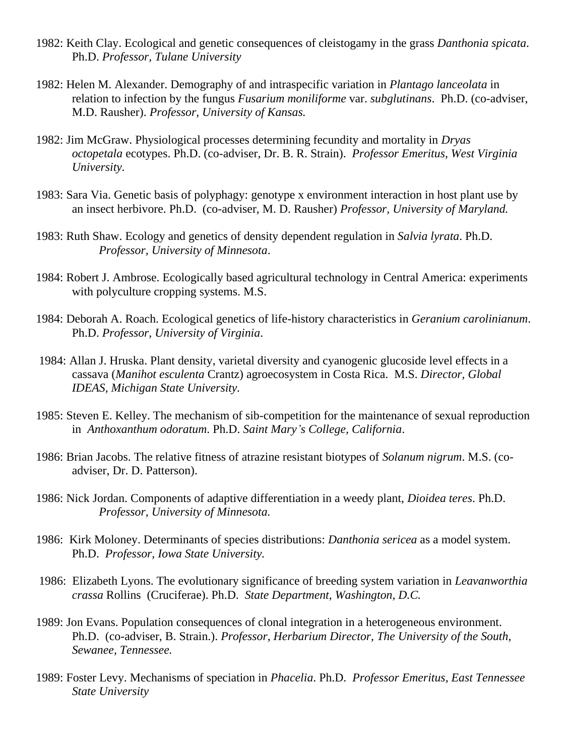- 1982: Keith Clay. Ecological and genetic consequences of cleistogamy in the grass *Danthonia spicata*. Ph.D. *Professor, Tulane University*
- 1982: Helen M. Alexander. Demography of and intraspecific variation in *Plantago lanceolata* in relation to infection by the fungus *Fusarium moniliforme* var. *subglutinans*. Ph.D. (co-adviser, M.D. Rausher). *Professor, [University](http://www2.ku.edu/~eeb/faculty/alexanderh.shtml) of Kansas.*
- 1982: Jim McGraw. Physiological processes determining fecundity and mortality in *Dryas octopetala* ecotypes. Ph.D. (co-adviser, Dr. B. R. Strain). *Professor Emeritus, [West Virginia](http://www.as.wvu.edu/~jmcgraw/JBMPersonalSite/)  [University.](http://www.as.wvu.edu/~jmcgraw/JBMPersonalSite/)*
- 1983: Sara Via. Genetic basis of polyphagy: genotype x environment interaction in host plant use by an insect herbivore. Ph.D. (co-adviser, M. D. Rausher) *Professor, [University of Maryland.](http://www.entmclasses.umd.edu/labs/via/ViaLab.html)*
- 1983: Ruth Shaw. Ecology and genetics of density dependent regulation in *Salvia lyrata*. Ph.D. *Professor, [University of Minnesota](http://www.cbs.umn.edu/eeb/contacts/ruth-g-shaw)*.
- 1984: Robert J. Ambrose. Ecologically based agricultural technology in Central America: experiments with polyculture cropping systems. M.S.
- 1984: Deborah A. Roach. Ecological genetics of life-history characteristics in *Geranium carolinianum*. Ph.D. *Professor, [University of Virginia](http://people.virginia.edu/~dar2x/Research.htm)*.
- 1984: Allan J. Hruska. Plant density, varietal diversity and cyanogenic glucoside level effects in a cassava (*Manihot esculenta* Crantz) agroecosystem in Costa Rica. M.S. *Director, Global IDEAS, Michigan State University.*
- 1985: Steven E. Kelley. The mechanism of sib-competition for the maintenance of sexual reproduction in *Anthoxanthum odoratum*. Ph.D. *Saint Mary's College, California*.
- 1986: Brian Jacobs. The relative fitness of atrazine resistant biotypes of *Solanum nigrum*. M.S. (coadviser, Dr. D. Patterson).
- 1986: Nick Jordan. Components of adaptive differentiation in a weedy plant, *Dioidea teres*. Ph.D. *Professor, [University of Minnesota.](http://environment.umn.edu/about/ione_bios/nick_jordan.html)*
- 1986: Kirk Moloney. Determinants of species distributions: *Danthonia sericea* as a model system. Ph.D. *Professor, [Iowa State University.](http://www.eeob.iastate.edu/faculty/profiles/MaloneyK/MaloneyK.html)*
- 1986: Elizabeth Lyons. The evolutionary significance of breeding system variation in *Leavanworthia crassa* Rollins (Cruciferae). Ph.D. *State Department, Washington, D.C.*
- 1989: Jon Evans. Population consequences of clonal integration in a heterogeneous environment. Ph.D. (co-adviser, B. Strain.). *Professor, Herbarium Director, [The University of the South,](http://biology.sewanee.edu/facstaff/evans) Sewanee, Tennessee.*
- 1989: Foster Levy. Mechanisms of speciation in *Phacelia*. Ph.D. *Professor Emeritus, [East Tennessee](http://www.etsu.edu/honors/staff.asp)  [State University](http://www.etsu.edu/honors/staff.asp)*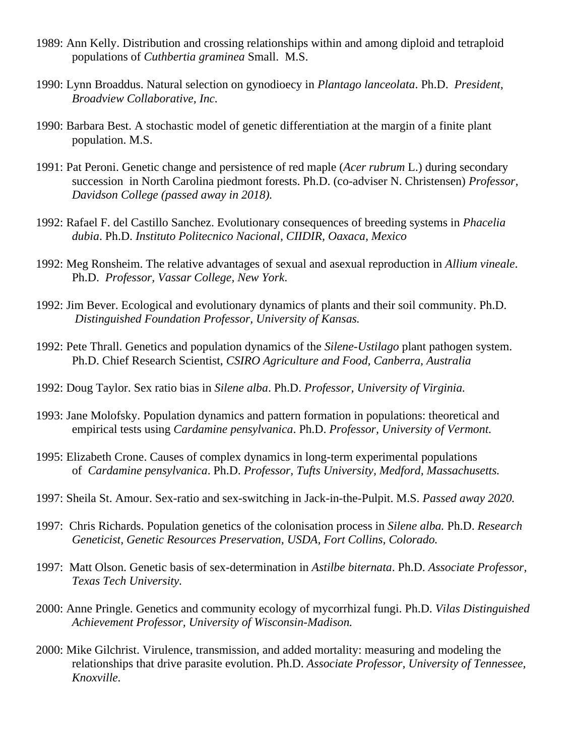- 1989: Ann Kelly. Distribution and crossing relationships within and among diploid and tetraploid populations of *Cuthbertia graminea* Small. M.S.
- 1990: Lynn Broaddus. Natural selection on gynodioecy in *Plantago lanceolata*. Ph.D. *President, Broadview [Collaborative,](http://www.broadviewcollaborative.com/) Inc.*
- 1990: Barbara Best. A stochastic model of genetic differentiation at the margin of a finite plant population. M.S.
- 1991: Pat Peroni. Genetic change and persistence of red maple (*Acer rubrum* L.) during secondary succession in North Carolina piedmont forests. Ph.D. (co-adviser N. Christensen) *Professor, [Davidson](http://www3.davidson.edu/cms/x40531.xml) College (passed away in 2018).*
- 1992: Rafael F. del Castillo Sanchez. Evolutionary consequences of breeding systems in *Phacelia dubia*. Ph.D. *Instituto Politecnico Nacional, CIIDIR, Oaxaca, Mexico*
- 1992: Meg Ronsheim. The relative advantages of sexual and asexual reproduction in *Allium vineale*. Ph.D. *Professor, [Vassar College,](http://faculty.vassar.edu/maronshe/ronsheim.html) New York*.
- 1992: Jim Bever. Ecological and evolutionary dynamics of plants and their soil community. Ph.D. *Distinguished Foundation Professor, University of Kansas.*
- 1992: Pete Thrall. Genetics and population dynamics of the *Silene-Ustilago* plant pathogen system. Ph.D. Chief Research Scientist, *CSIRO [Agriculture and Food, Canberra,](http://www.csiro.au/en/Organisation-Structure/Divisions/Plant-Industry/PeterThrall.aspx#a1) Australia*
- 1992: Doug Taylor. Sex ratio bias in *Silene alba*. Ph.D. *Professor, [University of Virginia.](http://people.virginia.edu/~drt3b/index.php)*
- 1993: Jane Molofsky. Population dynamics and pattern formation in populations: theoretical and empirical tests using *Cardamine pensylvanica*. Ph.D. *Professor, [University of Vermont.](http://www.uvm.edu/~plantbio/molofsky.php)*
- 1995: Elizabeth Crone. Causes of complex dynamics in long-term experimental populations of *Cardamine pensylvanica*. Ph.D. *Professor, Tufts University, Medford, Massachusetts.*
- 1997: Sheila St. Amour. Sex-ratio and sex-switching in Jack-in-the-Pulpit. M.S. *Passed away 2020.*
- 1997: Chris Richards. Population genetics of the colonisation process in *Silene alba.* Ph.D. *Research Geneticist, Genetic Resources Preservation, [USDA, Fort Collins, Colorado.](http://www.ars.usda.gov/pandp/people/people.htm?personid=42033)*
- 1997: Matt Olson. Genetic basis of sex-determination in *Astilbe biternata*. Ph.D. *Associate Professor, [Texas Tech University.](http://www.faculty.biol.ttu.edu/olson/welcome.html)*
- 2000: Anne Pringle. Genetics and community ecology of mycorrhizal fungi. Ph.D. *Vilas Distinguished Achievement Professor, University of Wisconsin-Madison.*
- 2000: Mike Gilchrist. Virulence, transmission, and added mortality: measuring and modeling the relationships that drive parasite evolution. Ph.D. *Associate Professor, [University of Tennessee,](http://www.tiem.utk.edu/~mikeg/)  [Knoxville.](http://www.tiem.utk.edu/~mikeg/)*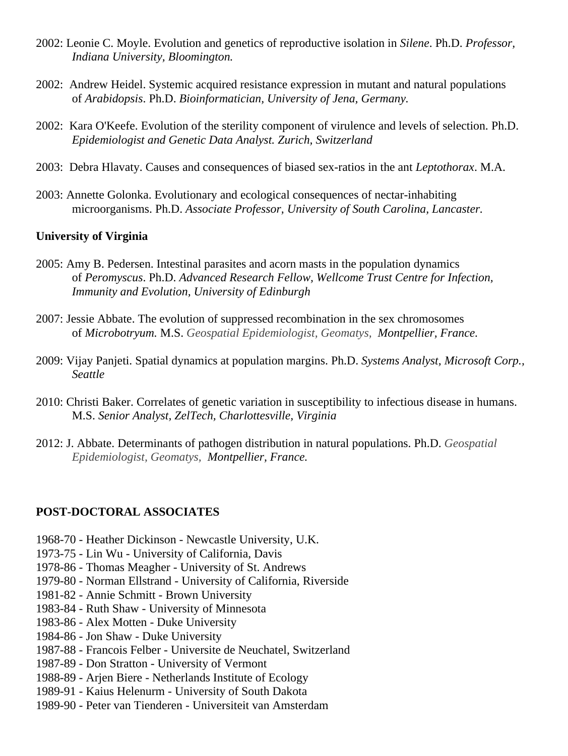- 2002: Leonie C. Moyle. Evolution and genetics of reproductive isolation in *Silene*. Ph.D. *Professor, [Indiana University,](http://sites.bio.indiana.edu/~moylelab/) Bloomington.*
- 2002: Andrew Heidel. Systemic acquired resistance expression in mutant and natural populations of *Arabidopsis*. Ph.D. *Bioinformatician, University of Jena, Germany.*
- 2002: Kara O'Keefe. Evolution of the sterility component of virulence and levels of selection. Ph.D. *Epidemiologist and Genetic Data Analyst. Zurich, Switzerland*
- 2003: Debra Hlavaty. Causes and consequences of biased sex-ratios in the ant *Leptothorax*. M.A.
- 2003: Annette Golonka. Evolutionary and ecological consequences of nectar-inhabiting microorganisms. Ph.D. *Associate Professor, [University of South Carolina, Lancaster.](http://usclancaster.sc.edu/faculty/golonka/index.html)*

#### **University of Virginia**

- 2005: Amy B. Pedersen. Intestinal parasites and acorn masts in the population dynamics of *Peromyscus*. Ph.D. *Advanced Research Fellow, Wellcome Trust Centre for Infection, Immunity and Evolution, [University of Edinburgh](http://www.biology.ed.ac.uk/research/groups/apedersen/)*
- 2007: Jessie Abbate. The evolution of suppressed recombination in the sex chromosomes of *Microbotryum.* M.S. *Geospatial Epidemiologist, Geomatys, Montpellier, France.*
- 2009: Vijay Panjeti. Spatial dynamics at population margins. Ph.D. *Systems Analyst, Microsoft Corp., Seattle*
- 2010: Christi Baker. Correlates of genetic variation in susceptibility to infectious disease in humans. M.S. *Senior Analyst, ZelTech, Charlottesville, Virginia*
- 2012: J. Abbate. Determinants of pathogen distribution in natural populations. Ph.D. *Geospatial Epidemiologist, Geomatys, Montpellier, France.*

#### **POST-DOCTORAL ASSOCIATES**

- 1968-70 Heather Dickinson [Newcastle University, U.K.](http://www.ncl.ac.uk/ihs/people/profile/heather.dickinson)
- 1973-75 Lin Wu [University of California, Davis](http://ucanr.edu/?facultyid=2498)
- 1978-86 Thomas Meagher [University of St. Andrews](http://biology.st-andrews.ac.uk/contact/staffProfile.aspx?sunID=trm3)
- 1979-80 Norman Ellstrand [University of California, Riverside](http://www.plantbiology.ucr.edu/faculty/ellstrand.html)
- 1981-82 Annie Schmitt Brown University
- 1983-84 Ruth Shaw [University of Minnesota](http://www.cbs.umn.edu/eeb/contacts/ruth-g-shaw)
- 1983-86 Alex Motten [Duke University](http://fds.duke.edu/db/aas/Biology/afmotten)
- 1984-86 Jon Shaw [Duke University](http://biology.duke.edu/bryology/index.html)
- 1987-88 Francois Felber [Universite de Neuchatel, Switzerland](http://www2.unine.ch/evobot/page-11459.html)
- 1987-89 Don Stratton [University of Vermont](http://www.uvm.edu/~dstratto/)
- 1988-89 Arjen Biere [Netherlands Institute of Ecology](https://www.nioo.knaw.nl/users/abiere)
- 1989-91 Kaius Helenurm [University of South Dakota](http://people.usd.edu/~helenurm/Home.html)
- 1989-90 Peter van Tienderen [Universiteit van Amsterdam](http://home.medewerker.uva.nl/p.h.vantienderen/)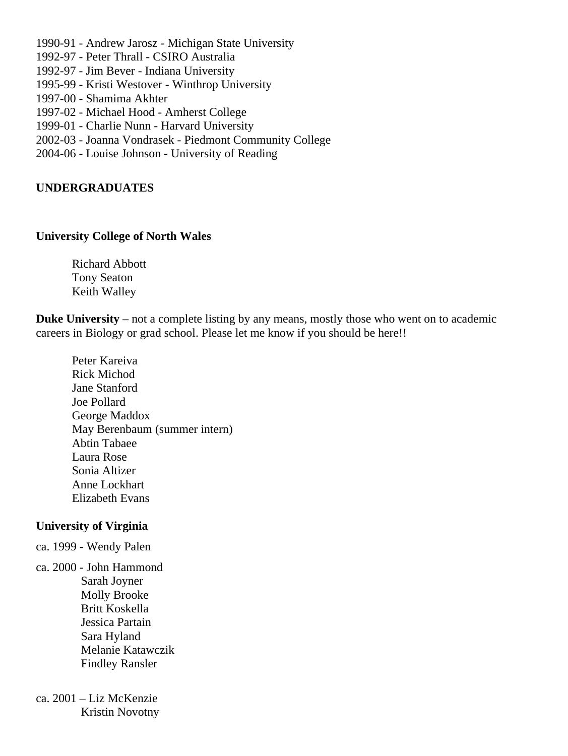- 1990-91 Andrew Jarosz [Michigan State University](http://www.plantbiology.msu.edu/faculty/faculty-research/andrew-m-jarosz/)
- 1992-97 Peter Thrall [CSIRO Australia](http://www.csiro.au/en/Organisation-Structure/Divisions/Plant-Industry/PeterThrall.aspx#a1)
- 1992-97 Jim Bever [Indiana University](http://www.bio.indiana.edu/faculty/directory/profile.php?person=jbever)
- 1995-99 Kristi Westover [Winthrop University](http://www.winthrop.edu/cas/faculty/default.aspx?id=14163)
- 1997-00 Shamima Akhter
- 1997-02 Michael Hood [Amherst College](http://www3.amherst.edu/~mhood/)
- 1999-01 Charlie Nunn [Harvard University](http://www.people.fas.harvard.edu/~nunn/archive/index.html)
- 2002-03 Joanna Vondrasek Piedmont Community College
- 2004-06 Louise Johnson [University of Reading](http://www.reading.ac.uk/biologicalsciences/about/staff/l-j-johnson.aspx)

## **UNDERGRADUATES**

### **University College of North Wales**

Richard Abbott Tony Seaton Keith Walley

**Duke University** – not a complete listing by any means, mostly those who went on to academic careers in Biology or grad school. Please let me know if you should be here!!

Peter Kareiva Rick Michod Jane Stanford Joe Pollard George Maddox May Berenbaum (summer intern) Abtin Tabaee Laura Rose Sonia Altizer Anne Lockhart Elizabeth Evans

## **University of Virginia**

- ca. 1999 Wendy Palen
- ca. 2000 John Hammond Sarah Joyner Molly Brooke Britt Koskella Jessica Partain Sara Hyland Melanie Katawczik Findley Ransler
- ca. 2001 Liz McKenzie Kristin Novotny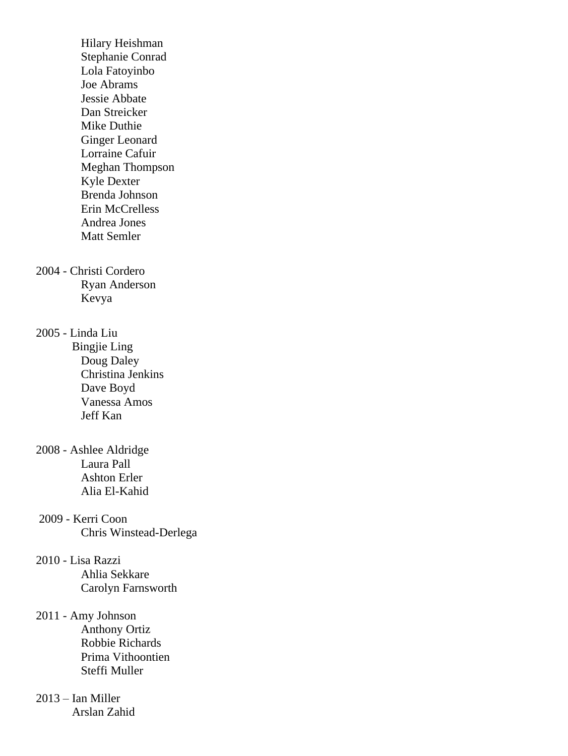Hilary Heishman Stephanie Conrad Lola Fatoyinbo Joe Abrams Jessie Abbate Dan Streicker Mike Duthie Ginger Leonard Lorraine Cafuir Meghan Thompson Kyle Dexter Brenda Johnson Erin McCrelless Andrea Jones Matt Semler

2004 - Christi Cordero Ryan Anderson Kevya

2005 - Linda Liu

 Bingjie Ling Doug Daley Christina Jenkins Dave Boyd Vanessa Amos Jeff Kan

- 2008 Ashlee Aldridge Laura Pall Ashton Erler Alia El-Kahid
- 2009 Kerri Coon Chris Winstead-Derlega

## 2010 - Lisa Razzi Ahlia Sekkare Carolyn Farnsworth

#### 2011 - Amy Johnson Anthony Ortiz

 Robbie Richards Prima Vithoontien Steffi Muller

# 2013 – Ian Miller Arslan Zahid